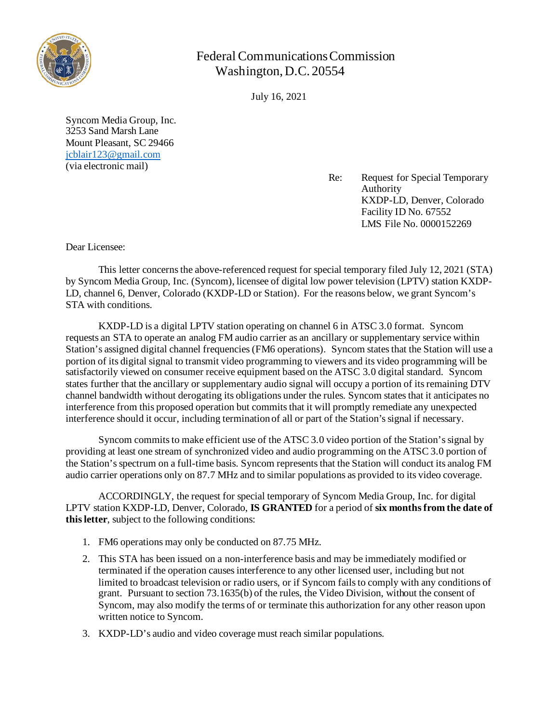

## Federal Communications Commission Washington, D.C. 20554

July 16, 2021

Syncom Media Group, Inc. 3253 Sand Marsh Lane Mount Pleasant, SC 29466 [jcblair123@gmail.com](mailto:jcblair123@gmail.com) (via electronic mail)

> Re: Request for Special Temporary Authority KXDP-LD, Denver, Colorado Facility ID No. 67552 LMS File No. 0000152269

Dear Licensee:

This letter concerns the above-referenced request for special temporary filed July 12, 2021 (STA) by Syncom Media Group, Inc. (Syncom), licensee of digital low power television (LPTV) station KXDP-LD, channel 6, Denver, Colorado (KXDP-LD or Station). For the reasons below, we grant Syncom's STA with conditions.

KXDP-LD is a digital LPTV station operating on channel 6 in ATSC 3.0 format. Syncom requests an STA to operate an analog FM audio carrier as an ancillary or supplementary service within Station's assigned digital channel frequencies (FM6 operations). Syncom states that the Station will use a portion of its digital signal to transmit video programming to viewers and its video programming will be satisfactorily viewed on consumer receive equipment based on the ATSC 3.0 digital standard. Syncom states further that the ancillary or supplementary audio signal will occupy a portion of its remaining DTV channel bandwidth without derogating its obligations under the rules. Syncom states that it anticipates no interference from this proposed operation but commits that it will promptly remediate any unexpected interference should it occur, including termination of all or part of the Station's signal if necessary.

Syncom commits to make efficient use of the ATSC 3.0 video portion of the Station's signal by providing at least one stream of synchronized video and audio programming on the ATSC 3.0 portion of the Station's spectrum on a full-time basis. Syncom represents that the Station will conduct its analog FM audio carrier operations only on 87.7 MHz and to similar populations as provided to its video coverage.

ACCORDINGLY, the request for special temporary of Syncom Media Group, Inc. for digital LPTV station KXDP-LD, Denver, Colorado, **IS GRANTED** for a period of **six monthsfrom the date of this letter**, subject to the following conditions:

- 1. FM6 operations may only be conducted on 87.75 MHz.
- 2. This STA has been issued on a non-interference basis and may be immediately modified or terminated if the operation causes interference to any other licensed user, including but not limited to broadcast television or radio users, or if Syncom fails to comply with any conditions of grant. Pursuant to section 73.1635(b) of the rules, the Video Division, without the consent of Syncom, may also modify the terms of or terminate this authorization for any other reason upon written notice to Syncom.
- 3. KXDP-LD's audio and video coverage must reach similar populations.